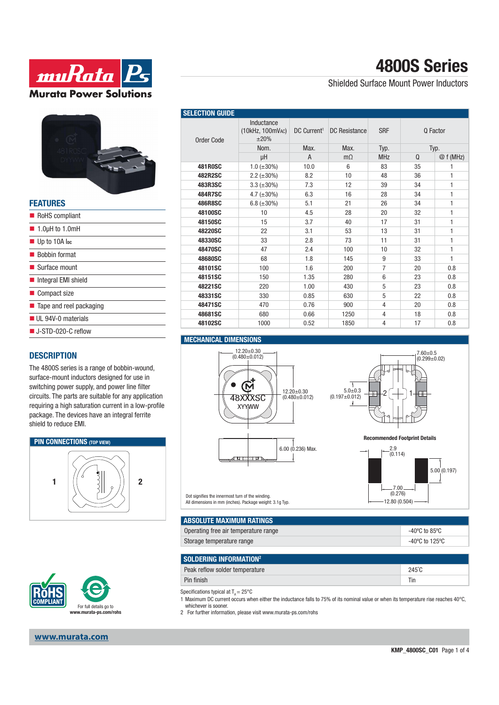



| <b>FEATURES</b>                        |
|----------------------------------------|
| RoHS compliant                         |
| $\blacksquare$ 1.0µH to 1.0mH          |
| $\blacksquare$ Up to 10A lpc           |
| ■ Bobbin format                        |
| $\blacksquare$ Surface mount           |
| Integral EMI shield                    |
| ■ Compact size                         |
| $\blacksquare$ Tape and reel packaging |
| UL 94V-0 materials                     |
| $\blacksquare$ J-STD-020-C reflow      |
|                                        |

### **DESCRIPTION**

The 4800S series is a range of bobbin-wound, surface-mount inductors designed for use in switching power supply, and power line filter circuits. The parts are suitable for any application requiring a high saturation current in a low-profile package. The devices have an integral ferrite shield to reduce EMI.





#### **www.murata.com**

# **4800S Series**

Shielded Surface Mount Power Inductors

| <b>SELECTION GUIDE</b> |                                        |                         |                      |                 |          |              |
|------------------------|----------------------------------------|-------------------------|----------------------|-----------------|----------|--------------|
| Order Code             | Inductance<br>(10kHz, 100mVAC)<br>±20% | DC Current <sup>1</sup> | <b>DC Resistance</b> | <b>SRF</b>      | Q Factor |              |
|                        | Nom.                                   | Max.                    | Max.                 | Typ.            | Typ.     |              |
|                        | μH                                     | A                       | $m\Omega$            | <b>MHz</b>      | $\Omega$ | @ f (MHz)    |
| <b>481R0SC</b>         | $1.0$ ( $\pm 30\%$ )                   | 10.0                    | 6                    | 83              | 35       | 1            |
| 482R2SC                | $2.2 (\pm 30\%)$                       | 8.2                     | 10                   | 48              | 36       | 1            |
| 483R3SC                | $3.3 (\pm 30\%)$                       | 7.3                     | 12                   | 39              | 34       | $\mathbf{1}$ |
| <b>484R7SC</b>         | 4.7 $(\pm 30\%)$                       | 6.3                     | 16                   | 28              | 34       | $\mathbf{1}$ |
| <b>486R8SC</b>         | $6.8 (\pm 30\%)$                       | 5.1                     | 21                   | 26              | 34       | 1            |
| 48100SC                | 10                                     | 4.5                     | 28                   | 20              | 32       | 1            |
| 48150SC                | 15                                     | 3.7                     | 40                   | 17              | 31       | $\mathbf{1}$ |
| 48220SC                | 22                                     | 3.1                     | 53                   | 13              | 31       | $\mathbf{1}$ |
| 48330SC                | 33                                     | 2.8                     | 73                   | 11              | 31       | $\mathbf{1}$ |
| 48470SC                | 47                                     | 2.4                     | 100                  | 10              | 32       | $\mathbf{1}$ |
| 48680SC                | 68                                     | 1.8                     | 145                  | 9               | 33       | $\mathbf{1}$ |
| 48101SC                | 100                                    | 1.6                     | 200                  | $\overline{7}$  | 20       | 0.8          |
| 48151SC                | 150                                    | 1.35                    | 280                  | $6\overline{6}$ | 23       | 0.8          |
| 48221SC                | 220                                    | 1.00                    | 430                  | 5               | 23       | 0.8          |
| 48331SC                | 330                                    | 0.85                    | 630                  | 5               | 22       | 0.8          |
| 48471SC                | 470                                    | 0.76                    | 900                  | 4               | 20       | 0.8          |
| 48681SC                | 680                                    | 0.66                    | 1250                 | 4               | 18       | 0.8          |
| 48102SC                | 1000                                   | 0.52                    | 1850                 | 4               | 17       | 0.8          |

#### **MECHANICAL DIMENSIONS**





**Recommended Footprint Details**



Dot signifies the innermost turn of the winding. All dimensions in mm (inches). Package weight: 3.1g Typ.

| I ABSOLUTE MAXIMUM RATINGS I         |                |
|--------------------------------------|----------------|
| Operating free air temperature range | -40°C to 85°C  |
| Storage temperature range            | -40°C to 125°C |

| SOLDERING INFORMATION <sup>2</sup> |                 |
|------------------------------------|-----------------|
| Peak reflow solder temperature     | $245^{\circ}$ C |
| Pin finish                         | Tin             |

Specifications typical at  $T_A = 25^{\circ}$ C

1 Maximum DC current occurs when either the inductance falls to 75% of its nominal value or when its temperature rise reaches 40°C, whichever is sooner.

2 For further information, please visit www.murata-ps.com/rohs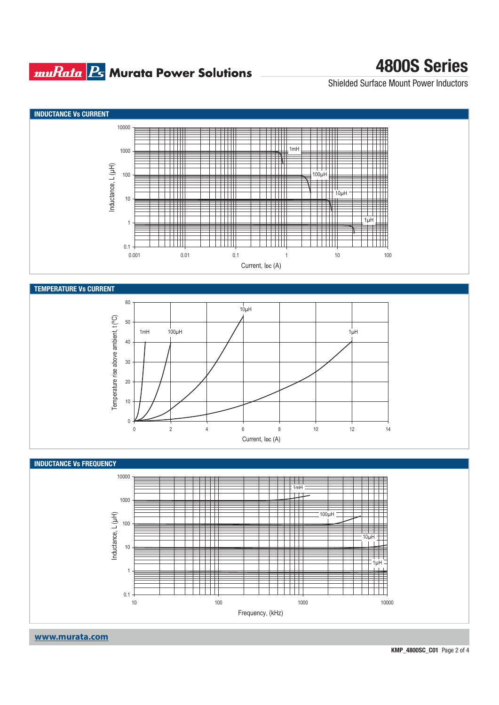### **muRata Ps** Murata Power Solutions

## **4800S Series**

Shielded Surface Mount Power Inductors



**www.murata.com**

**KMP\_4800SC\_C01** Page 2 of 4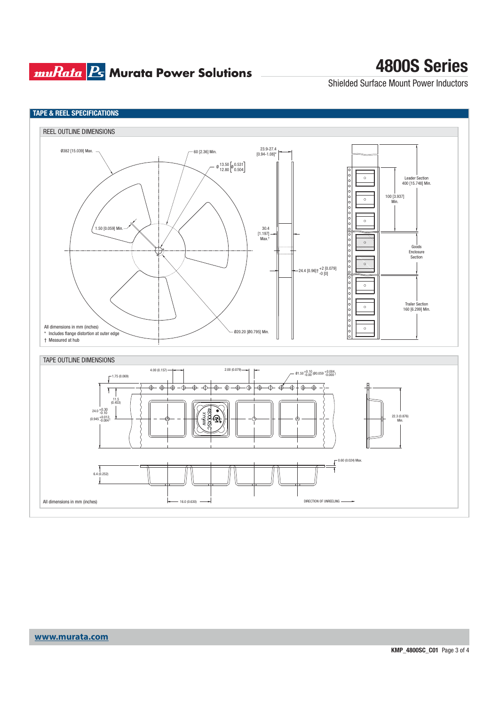## **muRata Ps** Murata Power Solutions

## **4800S Series**

Shielded Surface Mount Power Inductors